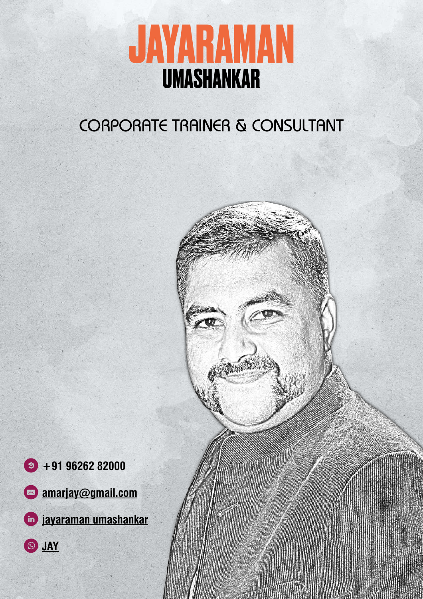

## CORPORATE TRAINER & CONSULTANT



L **[JAY](https://wa.link/ywylai)**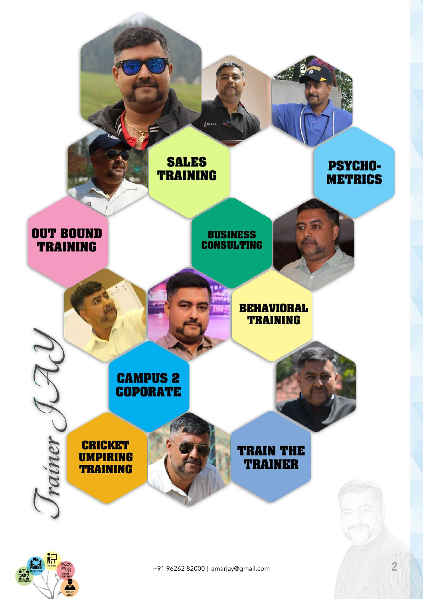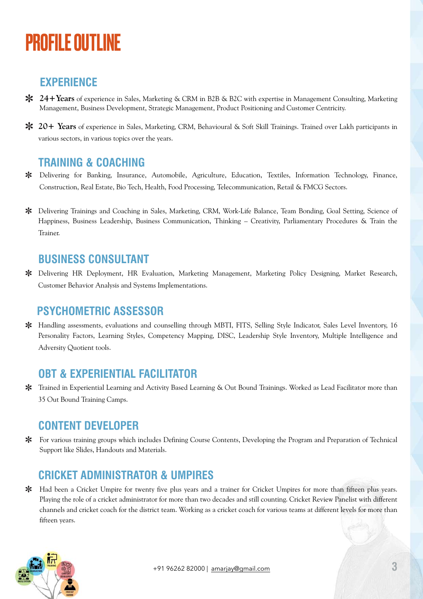# PROFILE OUTLINE

### **EXPERIENCE**

- **24+Years** of experience in Sales, Marketing & CRM in B2B & B2C with expertise in Management Consulting, Marketing Management, Business Development, Strategic Management, Product Positioning and Customer Centricity.
- **20+ Years** of experience in Sales, Marketing, CRM, Behavioural & Soft Skill Trainings. Trained over Lakh participants in various sectors, in various topics over the years.

### **TRAINING & COACHING**

- Delivering for Banking, Insurance, Automobile, Agriculture, Education, Textiles, Information Technology, Finance, Construction, Real Estate, Bio Tech, Health, Food Processing, Telecommunication, Retail & FMCG Sectors.
- Delivering Trainings and Coaching in Sales, Marketing, CRM, Work-Life Balance, Team Bonding, Goal Setting, Science of Happiness, Business Leadership, Business Communication, Thinking – Creativity, Parliamentary Procedures & Train the Trainer.

#### **BUSINESS CONSULTANT**

Delivering HR Deployment, HR Evaluation, Marketing Management, Marketing Policy Designing, Market Research, Customer Behavior Analysis and Systems Implementations.

### **PSYCHOMETRIC ASSESSOR**

Handling assessments, evaluations and counselling through MBTI, FITS, Selling Style Indicator, Sales Level Inventory, 16 Personality Factors, Learning Styles, Competency Mapping, DISC, Leadership Style Inventory, Multiple Intelligence and Adversity Quotient tools.

### **OBT & EXPERIENTIAL FACILITATOR**

Trained in Experiential Learning and Activity Based Learning & Out Bound Trainings. Worked as Lead Facilitator more than 35 Out Bound Training Camps.

### **CONTENT DEVELOPER**

For various training groups which includes Defining Course Contents, Developing the Program and Preparation of Technical Support like Slides, Handouts and Materials.

### **CRICKET ADMINISTRATOR & UMPIRES**

 $\ast$ Had been a Cricket Umpire for twenty five plus years and a trainer for Cricket Umpires for more than fifteen plus years. Playing the role of a cricket administrator for more than two decades and still counting. Cricket Review Panelist with different channels and cricket coach for the district team. Working as a cricket coach for various teams at different levels for more than fifteen years.

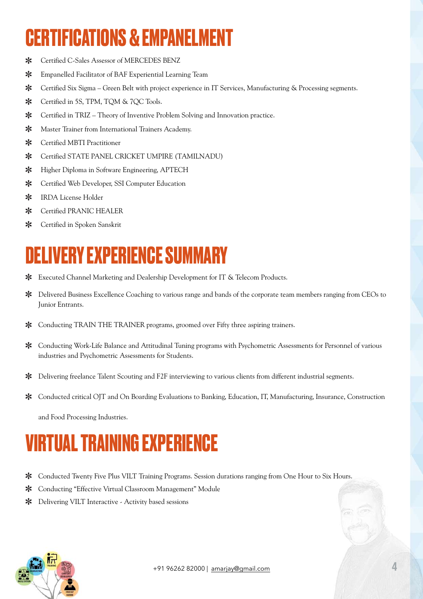# **CERTIFICATIONS & EMPANELMENT**

- Certified C-Sales Assessor of MERCEDES BENZ  $\ast$
- ∗ Empanelled Facilitator of BAF Experiential Learning Team
- ∗ Certified Six Sigma – Green Belt with project experience in IT Services, Manufacturing & Processing segments.
- ∗ Certified in 5S, TPM, TQM & 7QC Tools.
- Certified in TRIZ Theory of Inventive Problem Solving and Innovation practice. ∗
- Master Trainer from International Trainers Academy.  $\ast$
- Certified MBTI Practitioner ∗
- ∗ Certified STATE PANEL CRICKET UMPIRE (TAMILNADU)
- ⋇ Higher Diploma in Software Engineering, APTECH
- ∗ Certified Web Developer, SSI Computer Education
- ∗ IRDA License Holder
- ∗ Certified PRANIC HEALER
- Certified in Spoken Sanskrit ⋇

## **DELIVERY EXPERIENCE SUMMARY**

- Executed Channel Marketing and Dealership Development for IT & Telecom Products.
- Delivered Business Excellence Coaching to various range and bands of the corporate team members ranging from CEOs to ∗ Junior Entrants.
- Conducting TRAIN THE TRAINER programs, groomed over Fifty three aspiring trainers. ∗
- Conducting Work-Life Balance and Attitudinal Tuning programs with Psychometric Assessments for Personnel of various industries and Psychometric Assessments for Students.
- ∗ Delivering freelance Talent Scouting and F2F interviewing to various clients from different industrial segments.
- Conducted critical OJT and On Boarding Evaluations to Banking, Education, IT, Manufacturing, Insurance, Construction

and Food Processing Industries.

# **VIRTUAL TRAINING EXPERIENCE**

- Conducted Twenty Five Plus VILT Training Programs. Session durations ranging from One Hour to Six Hours.
- ∗ Conducting "Effective Virtual Classroom Management" Module
- Delivering VILT Interactive Activity based sessions

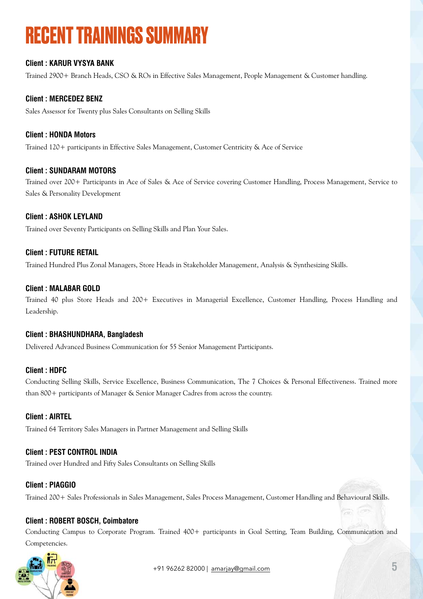# **RECENT TRAININGS SUMMARY**

#### **Client : KARUR VYSYA BANK**

Trained 2900+ Branch Heads, CSO & ROs in Effective Sales Management, People Management & Customer handling.

#### **Client : MERCEDEZ BENZ**

Sales Assessor for Twenty plus Sales Consultants on Selling Skills

#### **Client : HONDA Motors**

Trained 120+ participants in Effective Sales Management, Customer Centricity & Ace of Service

#### **Client : SUNDARAM MOTORS**

Trained over 200+ Participants in Ace of Sales & Ace of Service covering Customer Handling, Process Management, Service to Sales & Personality Development

#### **Client : ASHOK LEYLAND**

Trained over Seventy Participants on Selling Skills and Plan Your Sales.

#### **Client : FUTURE RETAIL**

Trained Hundred Plus Zonal Managers, Store Heads in Stakeholder Management, Analysis & Synthesizing Skills.

#### **Client : MALABAR GOLD**

Trained 40 plus Store Heads and 200+ Executives in Managerial Excellence, Customer Handling, Process Handling and Leadership.

#### **Client : BHASHUNDHARA, Bangladesh**

Delivered Advanced Business Communication for 55 Senior Management Participants.

#### **Client : HDFC**

Conducting Selling Skills, Service Excellence, Business Communication, The 7 Choices & Personal Effectiveness. Trained more than 800+ participants of Manager & Senior Manager Cadres from across the country.

#### **Client : AIRTEL**

Trained 64 Territory Sales Managers in Partner Management and Selling Skills

#### **Client : PEST CONTROL INDIA**

Trained over Hundred and Fifty Sales Consultants on Selling Skills

#### **Client : PIAGGIO**

Trained 200+ Sales Professionals in Sales Management, Sales Process Management, Customer Handling and Behavioural Skills.

#### **Client : ROBERT BOSCH, Coimbatore**

Conducting Campus to Corporate Program. Trained 400+ participants in Goal Setting, Team Building, Communication and Competencies.

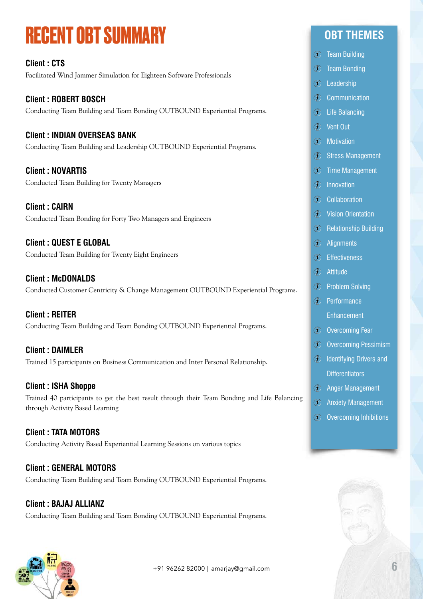# **RECENT OBT SUMMARY**

**Client : CTS**  Facilitated Wind Jammer Simulation for Eighteen Software Professionals

**Client : ROBERT BOSCH**  Conducting Team Building and Team Bonding OUTBOUND Experiential Programs.

#### **Client : INDIAN OVERSEAS BANK**

Conducting Team Building and Leadership OUTBOUND Experiential Programs.

**Client : NOVARTIS**  Conducted Team Building for Twenty Managers

**Client : CAIRN**  Conducted Team Bonding for Forty Two Managers and Engineers

**Client : QUEST E GLOBAL**  Conducted Team Building for Twenty Eight Engineers

**Client : McDONALDS**  Conducted Customer Centricity & Change Management OUTBOUND Experiential Programs.

**Client : REITER**  Conducting Team Building and Team Bonding OUTBOUND Experiential Programs.

**Client : DAIMLER**  Trained 15 participants on Business Communication and Inter Personal Relationship.

**Client : ISHA Shoppe**  Trained 40 participants to get the best result through their Team Bonding and Life Balancing through Activity Based Learning

**Client : TATA MOTORS**  Conducting Activity Based Experiential Learning Sessions on various topics

**Client : GENERAL MOTORS**  Conducting Team Building and Team Bonding OUTBOUND Experiential Programs.

**Client : BAJAJ ALLIANZ**  Conducting Team Building and Team Bonding OUTBOUND Experiential Programs.

### **OBT THEMES**

- Team Building
- Team Bonding
- Leadership
- **Communication**
- Life Balancing
- Vent Out
- Motivation
- **3** Stress Management
- Time Management
- Innovation
- Collaboration
- Vision Orientation
- **B** Relationship Building
- Alignments
- Effectiveness
- Attitude
- Problem Solving
- Performance Enhancement
- *C* Overcoming Fear
- Overcoming Pessimism
- *C* Identifying Drivers and **Differentiators**
- $\circledR$  Anger Management
- **3** Anxiety Management
- **D** Overcoming Inhibitions

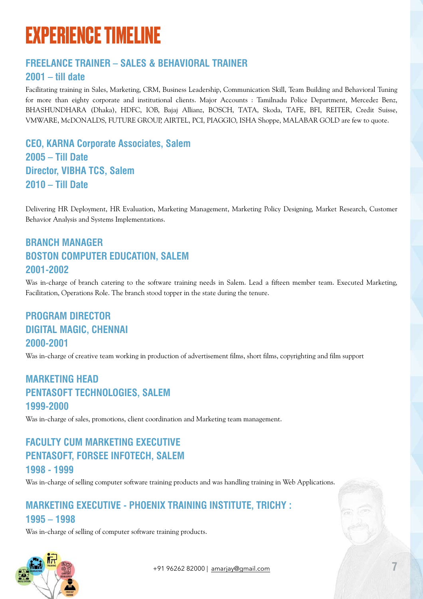# **EXPERIENCE TIMELINE**

### **FREELANCE TRAINER – SALES & BEHAVIORAL TRAINER**

### **2001 – till date**

Facilitating training in Sales, Marketing, CRM, Business Leadership, Communication Skill, Team Building and Behavioral Tuning for more than eighty corporate and institutional clients. Major Accounts : Tamilnadu Police Department, Mercedez Benz, BHASHUNDHARA (Dhaka), HDFC, IOB, Bajaj Allianz, BOSCH, TATA, Skoda, TAFE, BFI, REITER, Credit Suisse, VMWARE, McDONALDS, FUTURE GROUP, AIRTEL, PCI, PIAGGIO, ISHA Shoppe, MALABAR GOLD are few to quote.

**CEO, KARNA Corporate Associates, Salem 2005 – Till Date Director, VIBHA TCS, Salem 2010 – Till Date** 

Delivering HR Deployment, HR Evaluation, Marketing Management, Marketing Policy Designing, Market Research, Customer Behavior Analysis and Systems Implementations.

### **BRANCH MANAGER BOSTON COMPUTER EDUCATION, SALEM 2001-2002**

Was in-charge of branch catering to the software training needs in Salem. Lead a fifteen member team. Executed Marketing, Facilitation, Operations Role. The branch stood topper in the state during the tenure.

### **PROGRAM DIRECTOR DIGITAL MAGIC, CHENNAI 2000-2001**

Was in-charge of creative team working in production of advertisement films, short films, copyrighting and film support

### **MARKETING HEAD PENTASOFT TECHNOLOGIES, SALEM 1999-2000**

Was in-charge of sales, promotions, client coordination and Marketing team management.

### **FACULTY CUM MARKETING EXECUTIVE PENTASOFT, FORSEE INFOTECH, SALEM 1998 - 1999**

Was in-charge of selling computer software training products and was handling training in Web Applications.

#### **MARKETING EXECUTIVE - PHOENIX TRAINING INSTITUTE, TRICHY : 1995 – 1998**

Was in-charge of selling of computer software training products.



+91 96262 82000 | [amarjay@gmail.com](mailto:amarjay@gmail.com) **7**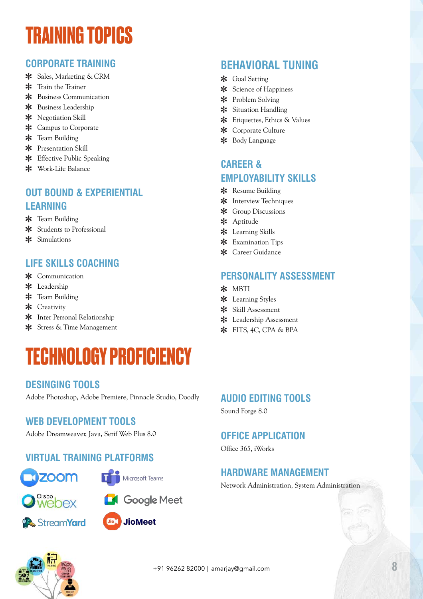# **TRAINING TOPICS**

#### **CORPORATE TRAINING**

- \* Sales, Marketing & CRM
- \* Train the Trainer
- \* Business Communication
- \* Business Leadership
- \* Negotiation Skill
- \* Campus to Corporate
- \* Team Building
- Presentation Skill
- Effective Public Speaking
- Work-Life Balance

#### **OUT BOUND & EXPERIENTIAL LEARNING**

- \* Team Building
- \* Students to Professional
- Simulations

#### **LIFE SKILLS COACHING**

- \* Communication
- \* Leadership
- \* Team Building
- \* Creativity
- Inter Personal Relationship
- Stress & Time Management

# **TECHNOLOGY PROFICIENCY**

#### **DESINGING TOOLS**

Adobe Photoshop, Adobe Premiere, Pinnacle Studio, Doodly

#### **WEB DEVELOPMENT TOOLS**

Adobe Dreamweaver, Java, Serif Web Plus 8.0

#### **VIRTUAL TRAINING PLATFORMS**









### **Jio** JioMeet

### **BEHAVIORAL TUNING**

- \* Goal Setting
- \* Science of Happiness
- Problem Solving
- \* Situation Handling
- \* Etiquettes, Ethics & Values
- \* Corporate Culture
- Body Language

#### **CAREER & EMPLOYABILITY SKILLS**

- \* Resume Building
- **\*** Interview Techniques
- \* Group Discussions
- \* Aptitude
- Learning Skills
- \* Examination Tips
- Career Guidance

#### **PERSONALITY ASSESSMENT**

- \* MBTI
- Learning Styles
- Skill Assessment
- Leadership Assessment
- \* FITS, 4C, CPA & BPA

#### **AUDIO EDITING TOOLS**

Sound Forge 8.0

#### **OFFICE APPLICATION**

Office 365, iWorks

#### **HARDWARE MANAGEMENT**

Network Administration, System Administration

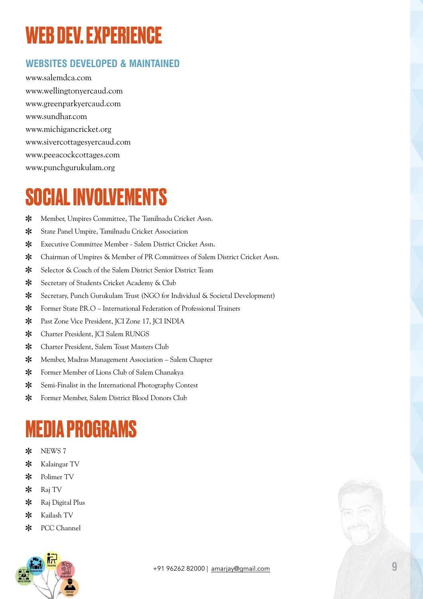# **WEB DEV. EXPERIENCE**

### **WEBSITES DEVELOPED & MAINTAINED**

www.salemdca.com www.wellingtonyercaud.com www.greenparkyercaud.com www.sundhar.com www.michigancricket.org www.sivercottagesyercaud.com www.peeacockcottages.com www.punchgurukulam.org

# **SOCIAL INVOLVEMENTS**

- ∗ Member, Umpires Committee, The Tamilnadu Cricket Assn.
- $\ast$ State Panel Umpire, Tamilnadu Cricket Association
- Executive Committee Member Salem District Cricket Assn.  $\ast$
- $\ast$ Chairman of Umpires & Member of PR Committees of Salem District Cricket Assn.
- $\ast$ Selector & Coach of the Salem District Senior District Team
- $\ast$ Secretary of Students Cricket Academy & Club
- $\ast$ Secretary, Punch Gurukulam Trust (NGO for Individual & Societal Development)
- Former State P.R.O International Federation of Professional Trainers  $\ast$
- ∗ Past Zone Vice President, JCI Zone 17, JCI INDIA
- $\ast$ Charter President, JCI Salem RUNGS
- $\ast$ Charter President, Salem Toast Masters Club
- Member, Madras Management Association Salem Chapter  $\ast$
- $\ast$ Former Member of Lions Club of Salem Chanakya
- $\ast$ Semi-Finalist in the International Photography Contest
- $\ast$ Former Member, Salem District Blood Donors Club

# **MEDIA PROGRAMS**

- NEWS 7  $\ast$
- Kalaingar TV  $\ast$
- $\ast$ Polimer TV
- Raj TV  $\ast$
- $\ast$ Raj Digital Plus
- Kailash TV  $\ast$
- PCC Channel  $\ast$

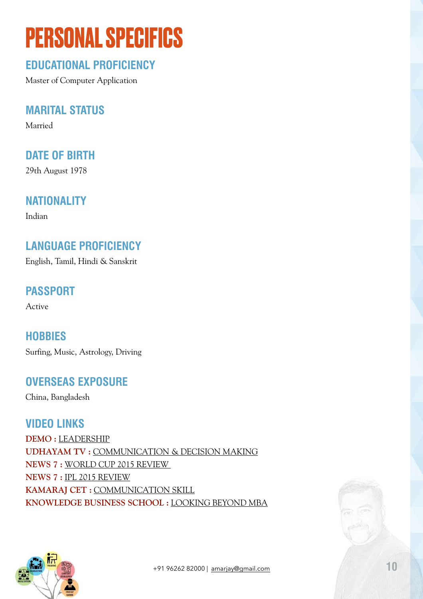# **PERSONAL SPECIFICS**

### **EDUCATIONAL PROFICIENCY**

Master of Computer Application

### **MARITAL STATUS**

Married

### **DATE OF BIRTH**

29th August 1978

### **NATIONALITY**

Indian

### **LANGUAGE PROFICIENCY**

English, Tamil, Hindi & Sanskrit

### **PASSPORT**

Active

**HOBBIES**  Surfing, Music, Astrology, Driving

### **OVERSEAS EXPOSURE**

China, Bangladesh

### **VIDEO LINKS**

**DEMO :** [LEADERSHIP](https://www.youtube.com/watch?v=2BIPcy5SAig&feature=youtu.be) **UDHAYAM TV :** [COMMUNICATION & DECISION MAKING](https://www.youtube.com/watch?v=3QM3gQsLKeg) **NEWS 7 :** [WORLD CUP 2015 REVIEW](https://www.youtube.com/watch?v=REB8VBjxyxc&index=43&list=PLMFLgBNDQhNBBx8fdg1XO2iorg4p8TMBQ)  **NEWS 7 :** [IPL 2015 REVIEW](https://www.youtube.com/watch?v=ZXVuq8mafeM) **KAMARAJ CET :** [COMMUNICATION SKILL](https://www.youtube.com/watch?v=Oat68yZzHbE) **KNOWLEDGE BUSINESS SCHOOL :** [LOOKING BEYOND MBA](https://youtu.be/PN02hewRB7E)



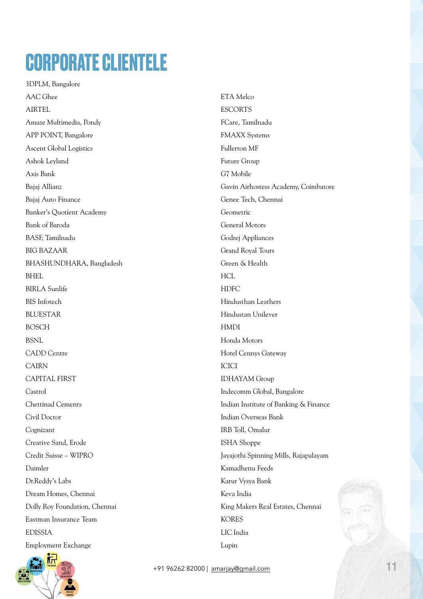# **CORPORATE CLIENTELE**

3DPLM, Bangalore AAC Ghee AIRTEL Amaze Multimedia, Pondy APP POINT, Bangalore Ascent Global Logistics Ashok Leyland Axis Bank Bajaj Allianz Bajaj Auto Finance Banker's Quotient Academy Bank of Baroda BASF, Tamilnadu BIG BAZAAR BHASHUNDHARA, Bangladesh BHEL BIRLA Sunlife BIS Infotech **BLUESTAR** BOSCH **BSNL** CADD Centre CAIRN CAPITAL FIRST Castrol Chettinad Cements Civil Doctor Cognizant Creative Sand, Erode Credit Suisse – WIPRO Daimler Dr.Reddy's Labs Dream Homes, Chennai Dolly Roy Foundation, Chennai Eastman Insurance Team EDISSIA Employment Exchange



ETA Melco **ESCORTS** FCare, Tamilnadu FMAXX Systems Fullerton MF Future Group G7 Mobile Gavin Airhostess Academy, Coimbatore Genee Tech, Chennai Geometric General Motors Godrej Appliances Grand Royal Tours Green & Health **HCL** HDFC Hindusthan Leathers Hindustan Unilever HMDI Honda Motors Hotel Cennys Gateway **ICICI** IDHAYAM Group Indecomm Global, Bangalore Indian Institute of Banking & Finance Indian Overseas Bank IRB Toll, Omalur ISHA Shoppe Jayajothi Spinning Mills, Rajapalayam Kamadhenu Feeds Karur Vysya Bank Keva India King Makers Real Estates, Chennai KORES LIC India Lupin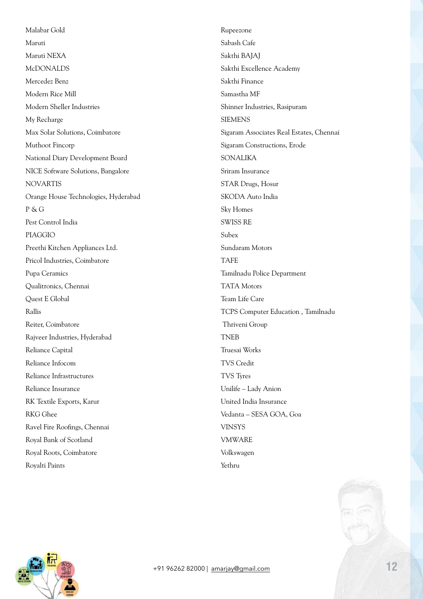Malabar Gold Maruti Maruti NEXA McDONALDS Mercedez Benz Modern Rice Mill Modern Sheller Industries My Recharge Max Solar Solutions, Coimbatore Muthoot Fincorp National Diary Development Board NICE Software Solutions, Bangalore NOVARTIS Orange House Technologies, Hyderabad P & G Pest Control India PIAGGIO Preethi Kitchen Appliances Ltd. Pricol Industries, Coimbatore Pupa Ceramics Qualitronics, Chennai Quest E Global Rallis Reiter, Coimbatore Rajveer Industries, Hyderabad Reliance Capital Reliance Infocom Reliance Infrastructures Reliance Insurance RK Textile Exports, Karur RKG Ghee Ravel Fire Roofings, Chennai Royal Bank of Scotland Royal Roots, Coimbatore Royalti Paints

Rupeezone Sabash Cafe Sakthi BAJAJ Sakthi Excellence Academy Sakthi Finance Samastha MF Shinner Industries, Rasipuram **SIEMENS** Sigaram Associates Real Estates, Chennai Sigaram Constructions, Erode SONALIKA Sriram Insurance STAR Drugs, Hosur SKODA Auto India Sky Homes SWISS RE Subex Sundaram Motors TAFE Tamilnadu Police Department TATA Motors Team Life Care TCPS Computer Education , Tamilnadu Thriveni Group TNEB Truesai Works TVS Credit TVS Tyres Unilife – Lady Anion United India Insurance Vedanta – SESA GOA, Goa VINSYS VMWARE Volkswagen Yethru

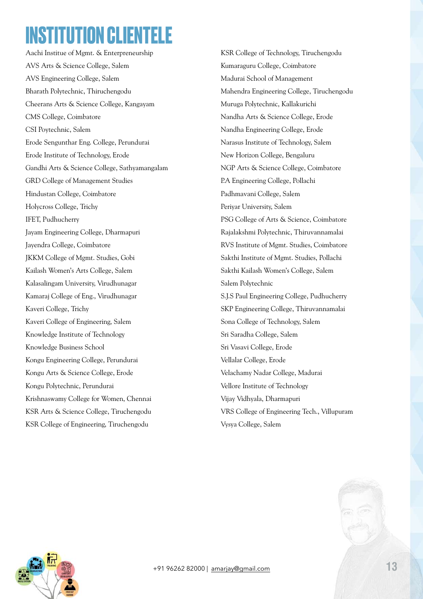# **INSTITUTION CLIENTELE**

Aachi Institue of Mgmt. & Enterpreneurship AVS Arts & Science College, Salem AVS Engineering College, Salem Bharath Polytechnic, Thiruchengodu Cheerans Arts & Science College, Kangayam CMS College, Coimbatore CSI Poytechnic, Salem Erode Sengunthar Eng. College, Perundurai Erode Institute of Technology, Erode Gandhi Arts & Science College, Sathyamangalam GRD College of Management Studies Hindustan College, Coimbatore Holycross College, Trichy IFET, Pudhucherry Jayam Engineering College, Dharmapuri Jayendra College, Coimbatore JKKM College of Mgmt. Studies, Gobi Kailash Women's Arts College, Salem Kalasalingam University, Virudhunagar Kamaraj College of Eng., Virudhunagar Kaveri College, Trichy Kaveri College of Engineering, Salem Knowledge Institute of Technology Knowledge Business School Kongu Engineering College, Perundurai Kongu Arts & Science College, Erode Kongu Polytechnic, Perundurai Krishnaswamy College for Women, Chennai KSR Arts & Science College, Tiruchengodu KSR College of Engineering, Tiruchengodu

KSR College of Technology, Tiruchengodu Kumaraguru College, Coimbatore Madurai School of Management Mahendra Engineering College, Tiruchengodu Muruga Polytechnic, Kallakurichi Nandha Arts & Science College, Erode Nandha Engineering College, Erode Narasus Institute of Technology, Salem New Horizon College, Bengaluru NGP Arts & Science College, Coimbatore P.A Engineering College, Pollachi Padhmavani College, Salem Periyar University, Salem PSG College of Arts & Science, Coimbatore Rajalakshmi Polytechnic, Thiruvannamalai RVS Institute of Mgmt. Studies, Coimbatore Sakthi Institute of Mgmt. Studies, Pollachi Sakthi Kailash Women's College, Salem Salem Polytechnic S.J.S Paul Engineering College, Pudhucherry SKP Engineering College, Thiruvannamalai Sona College of Technology, Salem Sri Saradha College, Salem Sri Vasavi College, Erode Vellalar College, Erode Velachamy Nadar College, Madurai Vellore Institute of Technology Vijay Vidhyala, Dharmapuri VRS College of Engineering Tech., Villupuram Vysya College, Salem

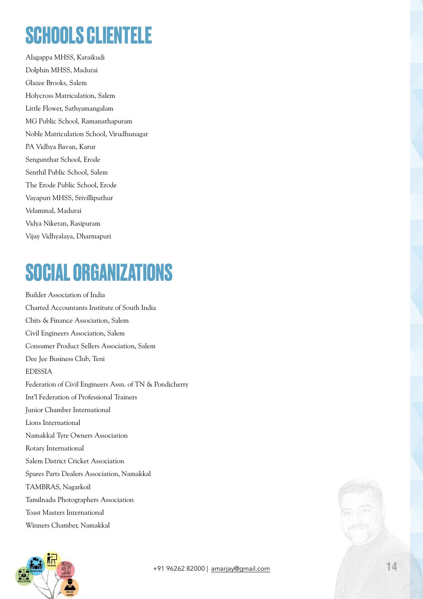# **SCHOOLS CLIENTELE**

Alagappa MHSS, Karaikudi Dolphin MHSS, Madurai Glazee Brooks, Salem Holycross Matriculation, Salem Little Flower, Sathyamangalam MG Public School, Ramanathapuram Noble Matriculation School, Virudhunagar PA Vidhya Bavan, Karur Sengunthar School, Erode Senthil Public School, Salem The Erode Public School, Erode Vayapuri MHSS, Srivilliputhur Velammal, Madurai Vidya Niketan, Rasipuram Vijay Vidhyalaya, Dharmapuri

# **SOCIAL ORGANIZATIONS**

Builder Association of India Charted Accountants Institute of South India Chits & Finance Association, Salem Civil Engineers Association, Salem Consumer Product Sellers Association, Salem Dee Jee Business Club, Teni EDISSIA Federation of Civil Engineers Assn. of TN & Pondicherry Int'l Federation of Professional Trainers Junior Chamber International Lions International Namakkal Tyre Owners Association Rotary International Salem District Cricket Association Spares Parts Dealers Association, Namakkal TAMBRAS, Nagarkoil Tamilnadu Photographers Association Toast Masters International Winners Chamber, Namakkal